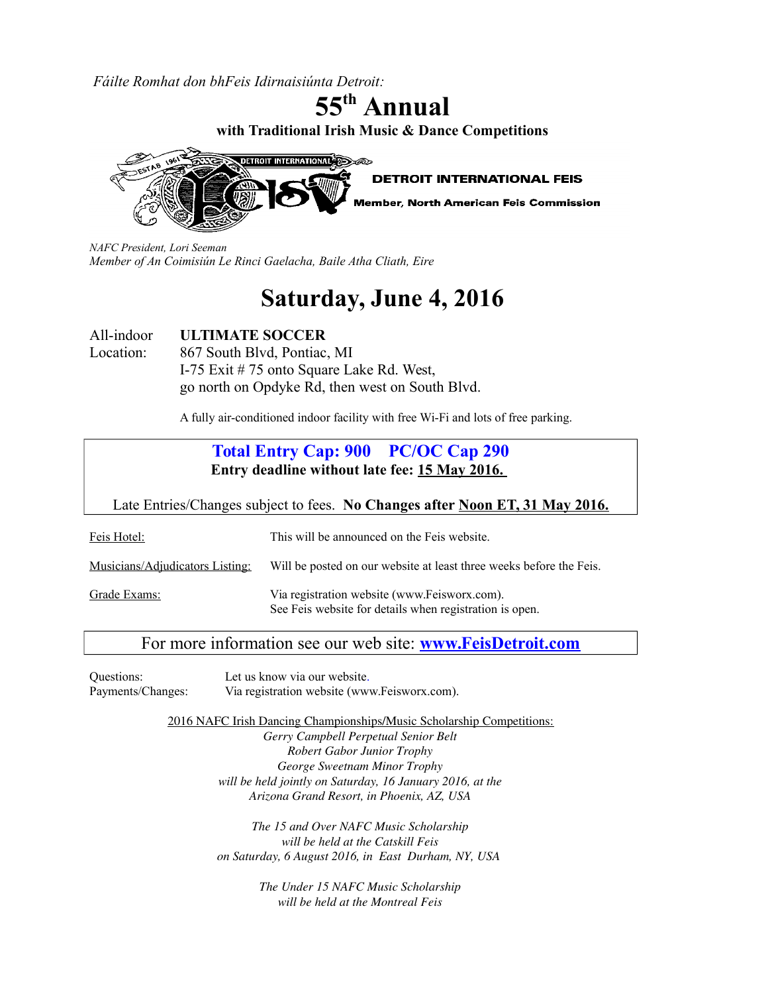*Fáilte Romhat don bhFeis Idirnaisiúnta Detroit:*

**55th Annual with Traditional Irish Music & Dance Competitions**



*NAFC President, Lori Seeman Member of An Coimisiún Le Rinci Gaelacha, Baile Atha Cliath, Eire*

# **Saturday, June 4, 2016**

All-indoor **ULTIMATE SOCCER** Location: 867 South Blvd, Pontiac, MI I-75 Exit # 75 onto Square Lake Rd. West, go north on Opdyke Rd, then west on South Blvd.

A fully air-conditioned indoor facility with free Wi-Fi and lots of free parking.

| <b>Total Entry Cap: 900 PC/OC Cap 290</b><br>Entry deadline without late fee: 15 May 2016.                              |                                                                     |  |  |  |  |
|-------------------------------------------------------------------------------------------------------------------------|---------------------------------------------------------------------|--|--|--|--|
| Late Entries/Changes subject to fees. No Changes after Noon ET, 31 May 2016.                                            |                                                                     |  |  |  |  |
| Feis Hotel:                                                                                                             | This will be announced on the Feis website.                         |  |  |  |  |
| Musicians/Adjudicators Listing:                                                                                         | Will be posted on our website at least three weeks before the Feis. |  |  |  |  |
| Via registration website (www.Feisworx.com).<br>Grade Exams:<br>See Feis website for details when registration is open. |                                                                     |  |  |  |  |

# For more information see our web site: **[www.FeisDetroit.com](http://www.FeisDetroit.com/)**

Questions: Let us know via our website. Payments/Changes: Via registration website (www.Feisworx.com).

2016 NAFC Irish Dancing Championships/Music Scholarship Competitions:

*Gerry Campbell Perpetual Senior Belt Robert Gabor Junior Trophy George Sweetnam Minor Trophy will be held jointly on Saturday, 16 January 2016, at the Arizona Grand Resort, in Phoenix, AZ, USA*

*The 15 and Over NAFC Music Scholarship will be held at the Catskill Feis on Saturday, 6 August 2016, in East Durham, NY, USA* 

> *The Under 15 NAFC Music Scholarship will be held at the Montreal Feis*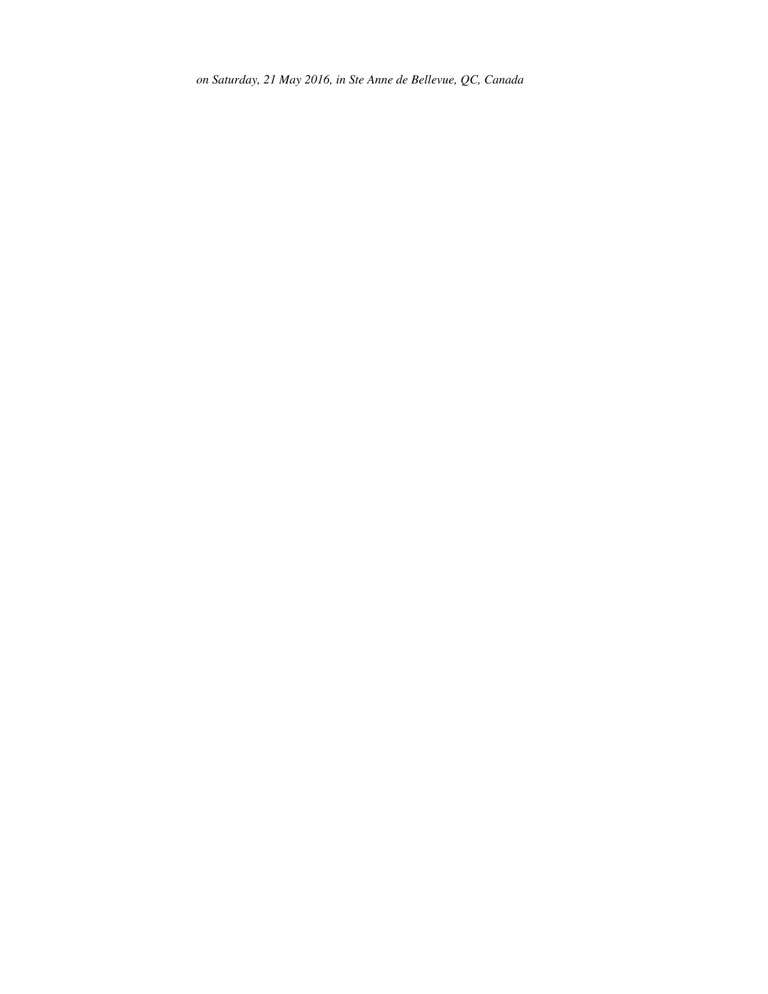*on Saturday, 21 May 2016, in Ste Anne de Bellevue, QC, Canada*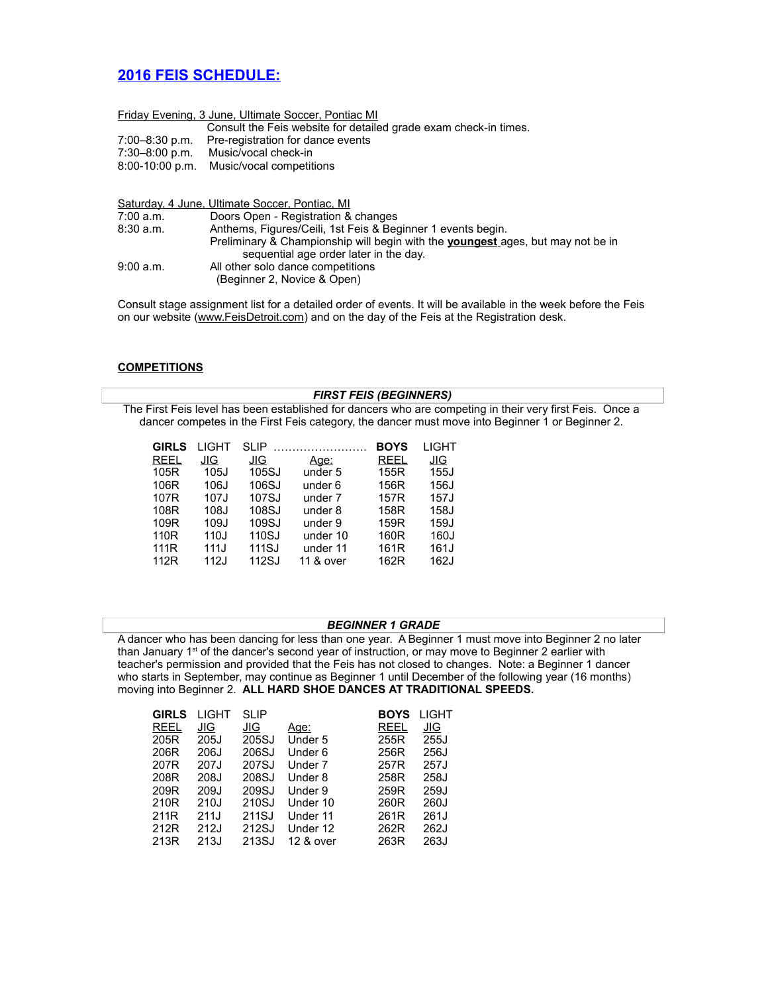# **2016 FEIS SCHEDULE:**

|                | Friday Evening, 3 June, Ultimate Soccer, Pontiac MI              |
|----------------|------------------------------------------------------------------|
|                | Consult the Feis website for detailed grade exam check-in times. |
| 7:00–8:30 p.m. | Pre-registration for dance events                                |
| 7:30–8:00 p.m. | Music/vocal check-in                                             |
|                | 8:00-10:00 p.m. Music/vocal competitions                         |
|                |                                                                  |

|           | Saturday, 4 June, Ultimate Soccer, Pontiac, MI                                         |
|-----------|----------------------------------------------------------------------------------------|
| 7:00 a.m. | Doors Open - Registration & changes                                                    |
| 8:30a.m.  | Anthems, Figures/Ceili, 1st Feis & Beginner 1 events begin.                            |
|           | Preliminary & Championship will begin with the <b>youngest</b> ages, but may not be in |
|           | sequential age order later in the day.                                                 |
| 9:00 a.m. | All other solo dance competitions                                                      |
|           | (Beginner 2, Novice & Open)                                                            |

Consult stage assignment list for a detailed order of events. It will be available in the week before the Feis on our website [\(www.FeisDetroit.com\)](http://www.FeisDetroit.com/) and on the day of the Feis at the Registration desk.

#### **COMPETITIONS**

## *FIRST FEIS (BEGINNERS)* The First Feis level has been established for dancers who are competing in their very first Feis. Once a dancer competes in the First Feis category, the dancer must move into Beginner 1 or Beginner 2.

| <b>GIRLS</b> | LIGHT | SLIP  |             | <b>BOYS</b>      | LIGHT      |
|--------------|-------|-------|-------------|------------------|------------|
| <b>REEL</b>  | JIG   | JIG   | <u>Aqe:</u> | <b>REEL</b>      | <u>JIG</u> |
| 105R         | 105J  | 105SJ | under 5     | 155R             | 155J       |
| 106R         | 106J  | 106SJ | under 6     | 156R             | 156J       |
| 107R         | 107J  | 107SJ | under 7     | 157R             | 157J       |
| 108R         | 108J  | 108SJ | under 8     | 158R             | 158J       |
| 109R         | 109J  | 109SJ | under 9     | 159R             | 159J       |
| 110R         | 110J  | 110SJ | under 10    | 160R             | 160J       |
| 111R         | 111J  | 111SJ | under 11    | 161 <sub>R</sub> | 161J       |
| 112R         | 112J  | 112SJ | 11 & over   | 162R             | 162J       |
|              |       |       |             |                  |            |

## *BEGINNER 1 GRADE*

A dancer who has been dancing for less than one year. A Beginner 1 must move into Beginner 2 no later than January 1<sup>st</sup> of the dancer's second year of instruction, or may move to Beginner 2 earlier with teacher's permission and provided that the Feis has not closed to changes. Note: a Beginner 1 dancer who starts in September, may continue as Beginner 1 until December of the following year (16 months) moving into Beginner 2. **ALL HARD SHOE DANCES AT TRADITIONAL SPEEDS.**

| <b>GIRLS</b> | LIGHT | SLIP  |           | <b>BOYS</b> | LIGHT |
|--------------|-------|-------|-----------|-------------|-------|
| <b>REEL</b>  | JIG   | JIG   | Age:      | REEL        | JIG   |
| 205R         | 205J  | 205SJ | Under 5   | 255R        | 255J  |
| 206R         | 206J  | 206SJ | Under 6   | 256R        | 256J  |
| 207R         | 207J  | 207SJ | Under 7   | 257R        | 257J  |
| 208R         | 208J  | 208SJ | Under 8   | 258R        | 258J  |
| 209R         | 209J  | 209SJ | Under 9   | 259R        | 259J  |
| 210R         | 210J  | 210SJ | Under 10  | 260R        | 260J  |
| 211R         | 211J  | 211SJ | Under 11  | 261R        | 261J  |
| 212R         | 212J  | 212SJ | Under 12  | 262R        | 262J  |
| 213R         | 213J  | 213SJ | 12 & over | 263R        | 263J  |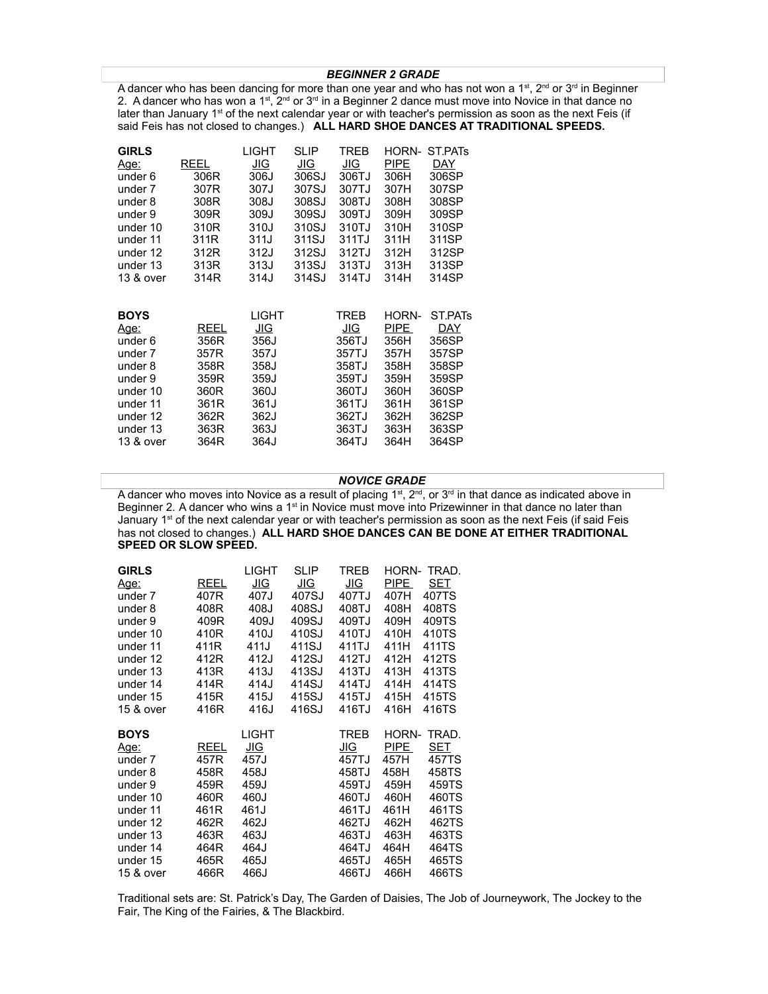#### *BEGINNER 2 GRADE*

A dancer who has been dancing for more than one year and who has not won a 1<sup>st</sup>, 2<sup>nd</sup> or 3<sup>rd</sup> in Beginner 2. A dancer who has won a 1st,  $2^{nd}$  or  $3^{rd}$  in a Beginner 2 dance must move into Novice in that dance no later than January 1<sup>st</sup> of the next calendar year or with teacher's permission as soon as the next Feis (if said Feis has not closed to changes.) **ALL HARD SHOE DANCES AT TRADITIONAL SPEEDS.**

| <b>GIRLS</b> |      | LIGHT | <b>SLIP</b> | TREB  | HORN- | ST.PAT <sub>s</sub> |
|--------------|------|-------|-------------|-------|-------|---------------------|
| Age:         | REEL | JIG   | JIG         | JIG   | PIPE  | DAY                 |
| under 6      | 306R | 306J  | 306SJ       | 306TJ | 306H  | 306SP               |
| under 7      | 307R | 307J  | 307SJ       | 307TJ | 307H  | 307SP               |
| under 8      | 308R | 308J  | 308SJ       | 308TJ | 308H  | 308SP               |
| under 9      | 309R | 309J  | 309SJ       | 309TJ | 309H  | 309SP               |
| under 10     | 310R | 310J  | 310SJ       | 310TJ | 310H  | 310SP               |
| under 11     | 311R | 311J  | 311SJ       | 311TJ | 311H  | 311SP               |
| under 12     | 312R | 312J  | 312SJ       | 312TJ | 312H  | 312SP               |
| under 13     | 313R | 313J  | 313SJ       | 313TJ | 313H  | 313SP               |
| 13 & over    | 314R | 314J  | 314SJ       | 314TJ | 314H  | 314SP               |
|              |      |       |             |       |       |                     |
|              |      |       |             |       |       |                     |
| <b>BOYS</b>  |      | LIGHT |             | TREB  | HORN- | ST.PAT <sub>s</sub> |
| Age:         | REEL | JIG   |             | JIG   | PIPE  | DAY                 |
| under 6      | 356R | 356J  |             | 356TJ | 356H  | 356SP               |
| under 7      | 357R | 357J  |             | 357TJ | 357H  | 357SP               |
| under 8      | 358R | 358J  |             | 358TJ | 358H  | 358SP               |
| under 9      | 359R | 359J  |             | 359TJ | 359H  | 359SP               |
| under 10     | 360R | 360J  |             | 360TJ | 360H  | 360SP               |
| under 11     | 361R | 361J  |             | 361TJ | 361H  | 361SP               |
| under 12     | 362R | 362J  |             | 362TJ | 362H  | 362SP               |
| under 13     | 363R | 363J  |             | 363TJ | 363H  | 363SP               |
| 13 & over    | 364R | 364J  |             | 364TJ | 364H  | 364SP               |

#### *NOVICE GRADE*

A dancer who moves into Novice as a result of placing 1st,  $2^{nd}$ , or  $3^{rd}$  in that dance as indicated above in Beginner 2. A dancer who wins a 1<sup>st</sup> in Novice must move into Prizewinner in that dance no later than January 1<sup>st</sup> of the next calendar year or with teacher's permission as soon as the next Feis (if said Feis has not closed to changes.) **ALL HARD SHOE DANCES CAN BE DONE AT EITHER TRADITIONAL SPEED OR SLOW SPEED.**

| <b>GIRLS</b> |      | LIGHT | <b>SLIP</b> | TREB        | HORN- | TRAD. |
|--------------|------|-------|-------------|-------------|-------|-------|
| <u>Age:</u>  | REEL | JIG   | JIG         | JIG         | PIPE  | SET   |
| under 7      | 407R | 407J  | 407SJ       | 407TJ       | 407H  | 407TS |
| under 8      | 408R | 408J  | 408SJ       | 408TJ       | 408H  | 408TS |
| under 9      | 409R | 409J  | 409SJ       | 409TJ       | 409H  | 409TS |
| under 10     | 410R | 410J  | 410SJ       | 410TJ       | 410H  | 410TS |
| under 11     | 411R | 411J  | 411SJ       | 411TJ       | 411H  | 411TS |
| under 12     | 412R | 412J  | 412SJ       | 412TJ       | 412H  | 412TS |
| under 13     | 413R | 413J  | 413SJ       | 413TJ       | 413H  | 413TS |
| under 14     | 414R | 414J  | 414SJ       | 414TJ       | 414H  | 414TS |
| under 15     | 415R | 415J  | 415SJ       | 415TJ       | 415H  | 415TS |
| 15 & over    | 416R | 416J  | 416SJ       | 416TJ       | 416H  | 416TS |
| <b>BOYS</b>  |      | LIGHT |             | <b>TREB</b> | HORN- | TRAD. |
| <u>Age:</u>  | REEL | JIG   |             | JIG         | PIPE  | SET   |
| under 7      | 457R | 457J  |             | 457TJ       |       | 457TS |
| under 8      |      |       |             |             | 457H  |       |
|              | 458R | 458J  |             | 458TJ       | 458H  | 458TS |
| under 9      | 459R | 459J  |             | 459TJ       | 459H  | 459TS |
| under 10     | 460R | 460J  |             | 460TJ       | 460H  | 460TS |
| under 11     | 461R | 461J  |             | 461TJ       | 461H  | 461TS |
| under 12     | 462R | 462J  |             | 462TJ       | 462H  | 462TS |
| under 13     | 463R | 463J  |             | 463TJ       | 463H  | 463TS |
| under 14     | 464R | 464J  |             | 464TJ       | 464H  | 464TS |
| under 15     | 465R | 465J  |             | 465TJ       | 465H  | 465TS |

Traditional sets are: St. Patrick's Day, The Garden of Daisies, The Job of Journeywork, The Jockey to the Fair, The King of the Fairies, & The Blackbird.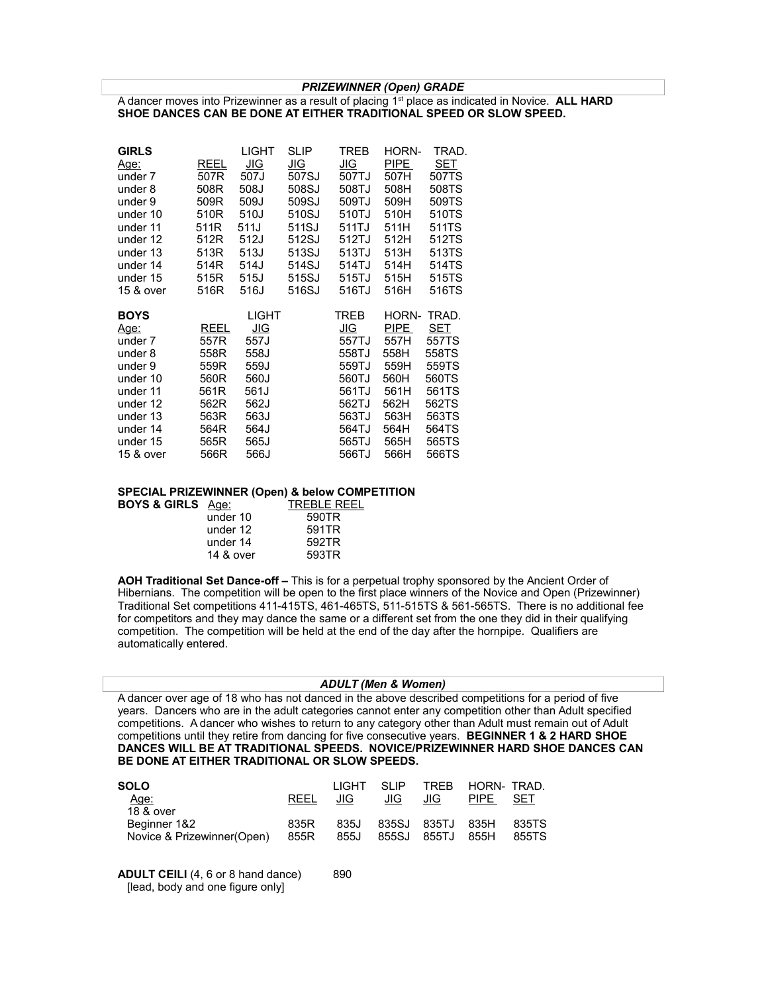*PRIZEWINNER (Open) GRADE*

A dancer moves into Prizewinner as a result of placing 1st place as indicated in Novice. **ALL HARD SHOE DANCES CAN BE DONE AT EITHER TRADITIONAL SPEED OR SLOW SPEED.**

| <b>GIRLS</b> |      | LIGHT        | SLIP  | TREB       | HORN- | TRAD. |
|--------------|------|--------------|-------|------------|-------|-------|
| Age:         | REEL | JIG          | JIG   | JIG        | PIPE  | SET   |
| under 7      | 507R | 507J         | 507SJ | 507TJ      | 507H  | 507TS |
| under 8      | 508R | 508J         | 508SJ | 508TJ      | 508H  | 508TS |
| under 9      | 509R | 509J         | 509SJ | 509TJ      | 509H  | 509TS |
| under 10     | 510R | 510J         | 510SJ | 510TJ      | 510H  | 510TS |
| under 11     | 511R | 511J         | 511SJ | 511TJ      | 511H  | 511TS |
| under 12     | 512R | 512J         | 512SJ | 512TJ      | 512H  | 512TS |
| under 13     | 513R | 513J         | 513SJ | 513TJ      | 513H  | 513TS |
| under 14     | 514R | 514J         | 514SJ | 514TJ      | 514H  | 514TS |
| under 15     | 515R | 515J         | 515SJ | 515TJ      | 515H  | 515TS |
| 15 & over    | 516R | 516J         | 516SJ | 516TJ      | 516H  | 516TS |
|              |      |              |       |            |       |       |
| <b>BOYS</b>  |      | <b>LIGHT</b> |       | TREB       | HORN- | TRAD. |
| <u>Age:</u>  | REEL | <u>JIG</u>   |       | <u>JIG</u> | PIPE  | SET   |
| under 7      | 557R | 557J         |       | 557TJ      | 557H  | 557TS |
| under 8      | 558R | 558J         |       | 558TJ      | 558H  | 558TS |
| under 9      | 559R | 559J         |       | 559TJ      | 559H  | 559TS |
| under 10     | 560R | 560J         |       | 560TJ      | 560H  | 560TS |
| under 11     | 561R | 561J         |       | 561TJ      | 561H  | 561TS |
| under 12     | 562R | 562J         |       | 562TJ      | 562H  | 562TS |
| under 13     | 563R | 563J         |       | 563TJ      | 563H  | 563TS |
| under 14     | 564R | 564J         |       | 564TJ      | 564H  | 564TS |
| under 15     | 565R | 565J         |       | 565TJ      | 565H  | 565TS |

#### **SPECIAL PRIZEWINNER (Open) & below COMPETITION**

| <b>BOYS &amp; GIRLS</b> Age: |           | <b>TREBLE REEL</b> |
|------------------------------|-----------|--------------------|
|                              | under 10  | 590TR              |
|                              | under 12  | 591TR              |
|                              | under 14  | 592TR              |
|                              | 14 & over | 593TR              |

**AOH Traditional Set Dance-off –** This is for a perpetual trophy sponsored by the Ancient Order of Hibernians. The competition will be open to the first place winners of the Novice and Open (Prizewinner) Traditional Set competitions 411-415TS, 461-465TS, 511-515TS & 561-565TS. There is no additional fee for competitors and they may dance the same or a different set from the one they did in their qualifying competition. The competition will be held at the end of the day after the hornpipe. Qualifiers are automatically entered.

#### *ADULT (Men & Women)*

A dancer over age of 18 who has not danced in the above described competitions for a period of five years. Dancers who are in the adult categories cannot enter any competition other than Adult specified competitions. A dancer who wishes to return to any category other than Adult must remain out of Adult competitions until they retire from dancing for five consecutive years. **BEGINNER 1 & 2 HARD SHOE DANCES WILL BE AT TRADITIONAL SPEEDS. NOVICE/PRIZEWINNER HARD SHOE DANCES CAN BE DONE AT EITHER TRADITIONAL OR SLOW SPEEDS.**

| <b>SOLO</b>                 |             | I IGHT | -SLIP |                  | TREB HORN-TRAD |       |
|-----------------------------|-------------|--------|-------|------------------|----------------|-------|
| Age:                        | <b>REEL</b> | JIG.   | JIG.  | JIG.             | PIPE           | SET   |
| 18 & over                   |             |        |       |                  |                |       |
| Beginner 1&2                | 835R        | 835J   |       | 835SJ 835TJ 835H |                | 835TS |
| Novice & Prizewinner (Open) | 855R        | 855J   |       | 855SJ 855TJ      | 855H           | 855TS |

**ADULT CEILI** (4, 6 or 8 hand dance) 890 [lead, body and one figure only]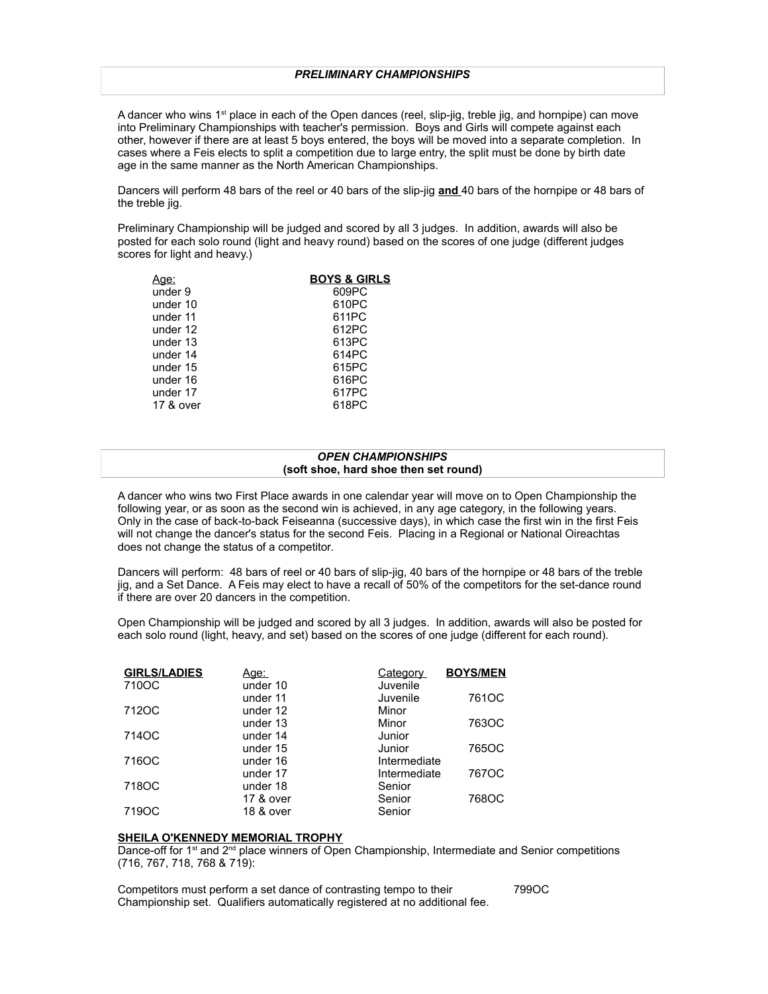A dancer who wins  $1^{st}$  place in each of the Open dances (reel, slip-jig, treble jig, and hornpipe) can move into Preliminary Championships with teacher's permission. Boys and Girls will compete against each other, however if there are at least 5 boys entered, the boys will be moved into a separate completion. In cases where a Feis elects to split a competition due to large entry, the split must be done by birth date age in the same manner as the North American Championships.

Dancers will perform 48 bars of the reel or 40 bars of the slip-jig **and** 40 bars of the hornpipe or 48 bars of the treble iig.

Preliminary Championship will be judged and scored by all 3 judges. In addition, awards will also be posted for each solo round (light and heavy round) based on the scores of one judge (different judges scores for light and heavy.)

| Aqe:      | <b>BOYS &amp; GIRLS</b> |
|-----------|-------------------------|
| under 9   | 609PC                   |
| under 10  | 610PC                   |
| under 11  | 611PC                   |
| under 12  | 612PC                   |
| under 13  | 613PC                   |
| under 14  | 614PC                   |
| under 15  | 615PC                   |
| under 16  | 616PC                   |
| under 17  | 617PC                   |
| 17 & over | 618PC                   |
|           |                         |

#### *OPEN CHAMPIONSHIPS* **(soft shoe, hard shoe then set round)**

A dancer who wins two First Place awards in one calendar year will move on to Open Championship the following year, or as soon as the second win is achieved, in any age category, in the following years. Only in the case of back-to-back Feiseanna (successive days), in which case the first win in the first Feis will not change the dancer's status for the second Feis. Placing in a Regional or National Oireachtas does not change the status of a competitor.

Dancers will perform: 48 bars of reel or 40 bars of slip-jig, 40 bars of the hornpipe or 48 bars of the treble jig, and a Set Dance. A Feis may elect to have a recall of 50% of the competitors for the set-dance round if there are over 20 dancers in the competition.

Open Championship will be judged and scored by all 3 judges. In addition, awards will also be posted for each solo round (light, heavy, and set) based on the scores of one judge (different for each round).

| <b>GIRLS/LADIES</b> | Age:      | Category     | <b>BOYS/MEN</b> |
|---------------------|-----------|--------------|-----------------|
| 710OC               | under 10  | Juvenile     |                 |
|                     | under 11  | Juvenile     | 761OC           |
| 712OC               | under 12  | Minor        |                 |
|                     | under 13  | Minor        | 763OC           |
| 714OC               | under 14  | Junior       |                 |
|                     | under 15  | Junior       | 765OC           |
| 716OC               | under 16  | Intermediate |                 |
|                     | under 17  | Intermediate | 767OC           |
| 718OC               | under 18  | Senior       |                 |
|                     | 17 & over | Senior       | 768OC           |
| 719OC               | 18 & over | Senior       |                 |

#### **SHEILA O'KENNEDY MEMORIAL TROPHY**

Dance-off for 1<sup>st</sup> and 2<sup>nd</sup> place winners of Open Championship, Intermediate and Senior competitions (716, 767, 718, 768 & 719):

Competitors must perform a set dance of contrasting tempo to their 799OC Championship set. Qualifiers automatically registered at no additional fee.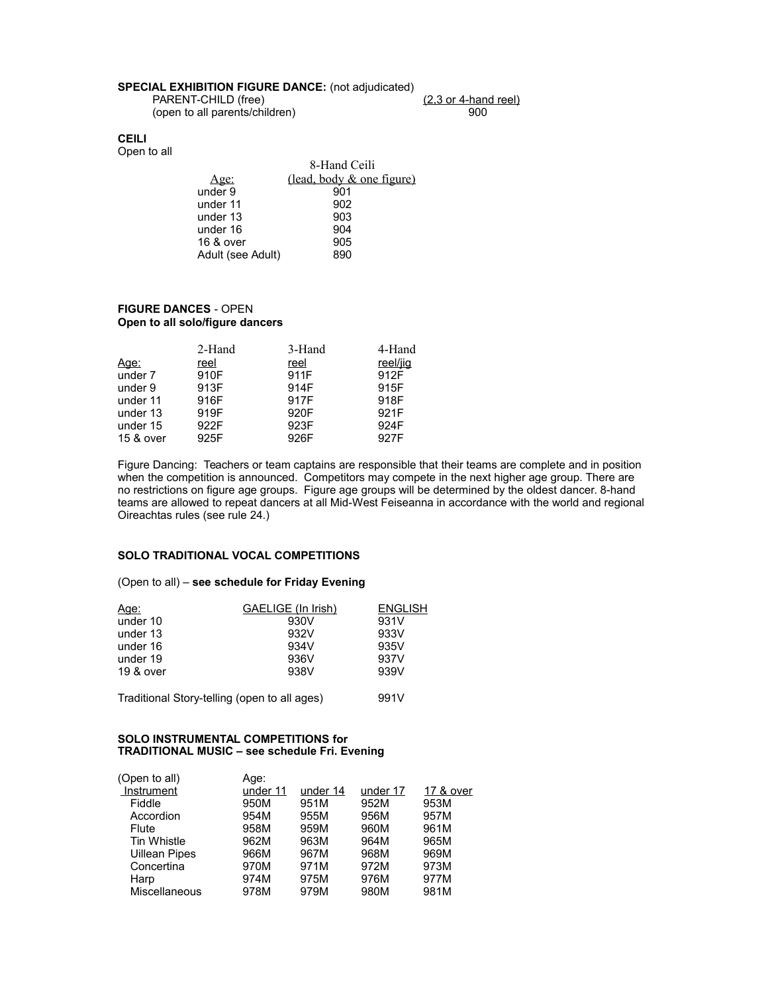## **SPECIAL EXHIBITION FIGURE DANCE:** (not adjudicated)

(open to all parents/children) 900

PARENT-CHILD (free) (2,3 or 4-hand reel)

#### **CEILI** Open to all

 8-Hand Ceili Age: (lead, body & one figure)<br>
der 9 901 under 9 901<br>under 11 902 under 11 902<br>under 13 903 under 13 903<br>under 16 904 under 16 904<br>16 & over 905 16 & over 905<br>Adult (see Adult) 890 Adult (see Adult)

#### **FIGURE DANCES** - OPEN **Open to all solo/figure dancers**

|             | 2-Hand | 3-Hand | 4-Hand   |
|-------------|--------|--------|----------|
| <u>Age:</u> | reel   | reel   | reel/jig |
| under 7     | 910F   | 911F   | 912F     |
| under 9     | 913F   | 914F   | 915F     |
| under 11    | 916F   | 917F   | 918F     |
| under 13    | 919F   | 920F   | 921F     |
| under 15    | 922F   | 923F   | 924F     |
| 15 & over   | 925F   | 926F   | 927F     |

Figure Dancing: Teachers or team captains are responsible that their teams are complete and in position when the competition is announced. Competitors may compete in the next higher age group. There are no restrictions on figure age groups. Figure age groups will be determined by the oldest dancer. 8-hand teams are allowed to repeat dancers at all Mid-West Feiseanna in accordance with the world and regional Oireachtas rules (see rule 24.)

### **SOLO TRADITIONAL VOCAL COMPETITIONS**

#### (Open to all) – **see schedule for Friday Evening**

| <u>Age:</u>                                  | <b>GAELIGE</b> (In Irish) | <b>ENGLISH</b> |
|----------------------------------------------|---------------------------|----------------|
| under 10                                     | 930V                      | 931V           |
| under 13                                     | 932V                      | 933V           |
| under 16                                     | 934V                      | 935V           |
| under 19                                     | 936V                      | 937V           |
| 19 & over                                    | 938V                      | 939V           |
| Traditional Story-telling (open to all ages) | 991V                      |                |

### **SOLO INSTRUMENTAL COMPETITIONS for TRADITIONAL MUSIC – see schedule Fri. Evening**

| Age:     |          |          |           |
|----------|----------|----------|-----------|
| under 11 | under 14 | under 17 | 17 & over |
| 950M     | 951M     | 952M     | 953M      |
| 954M     | 955M     | 956M     | 957M      |
| 958M     | 959M     | 960M     | 961M      |
| 962M     | 963M     | 964M     | 965M      |
| 966M     | 967M     | 968M     | 969M      |
| 970M     | 971M     | 972M     | 973M      |
| 974M     | 975M     | 976M     | 977M      |
| 978M     | 979M     | 980M     | 981M      |
|          |          |          |           |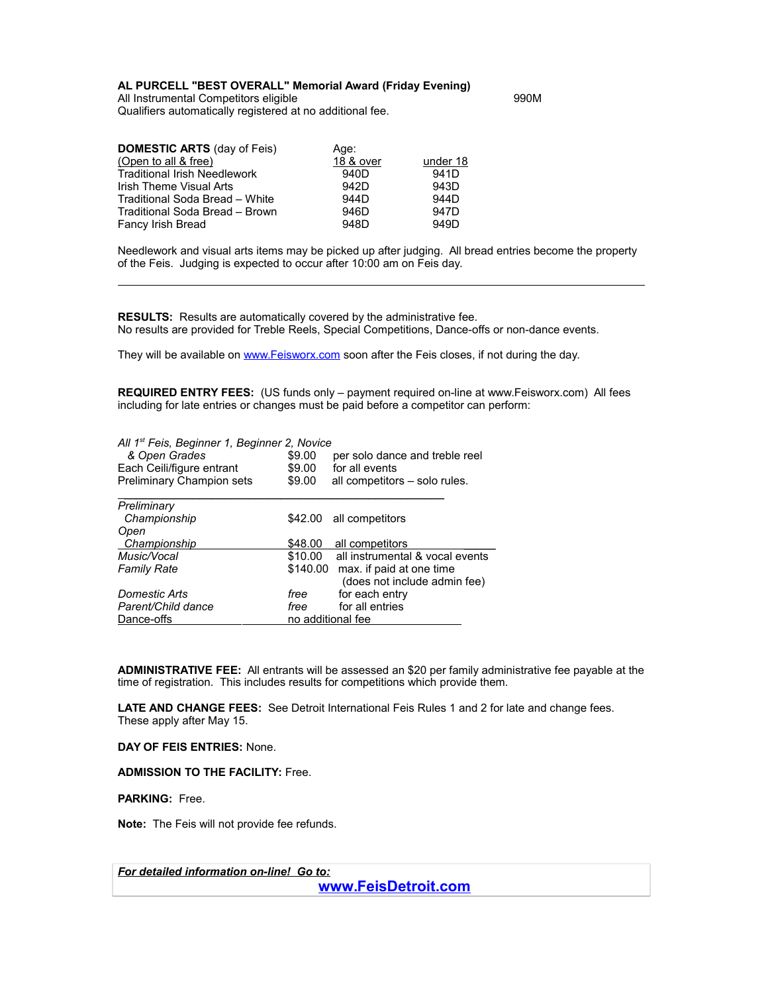### **AL PURCELL "BEST OVERALL" Memorial Award (Friday Evening)**

All Instrumental Competitors eligible 990M Qualifiers automatically registered at no additional fee.

| <b>DOMESTIC ARTS (day of Feis)</b>  | Age:             |                  |
|-------------------------------------|------------------|------------------|
| (Open to all & free)                | 18 & over        | under 18         |
| <b>Traditional Irish Needlework</b> | 940D             | 941D             |
| Irish Theme Visual Arts             | 942D             | 943D             |
| Traditional Soda Bread - White      | 944 <sub>D</sub> | 944D             |
| Traditional Soda Bread - Brown      | 946D             | 947 <sub>D</sub> |
| Fancy Irish Bread                   | 948D             | 949D             |

Needlework and visual arts items may be picked up after judging. All bread entries become the property of the Feis. Judging is expected to occur after 10:00 am on Feis day.

**RESULTS:** Results are automatically covered by the administrative fee. No results are provided for Treble Reels, Special Competitions, Dance-offs or non-dance events.

They will be available on [www.Feisworx.com](http://www.Feisworx.com/) soon after the Feis closes, if not during the day.

**REQUIRED ENTRY FEES:** (US funds only – payment required on-line at www.Feisworx.com) All fees including for late entries or changes must be paid before a competitor can perform:

| All 1 <sup>st</sup> Feis, Beginner 1, Beginner 2, Novice<br>& Open Grades<br>Each Ceili/figure entrant<br>Preliminary Champion sets | \$9.00<br>\$9.00<br>\$9.00 | per solo dance and treble reel<br>for all events<br>all competitors – solo rules. |
|-------------------------------------------------------------------------------------------------------------------------------------|----------------------------|-----------------------------------------------------------------------------------|
| Preliminary                                                                                                                         |                            |                                                                                   |
| Championship                                                                                                                        | \$42.00                    | all competitors                                                                   |
| Open                                                                                                                                |                            |                                                                                   |
| <b>Championship</b>                                                                                                                 | \$48.00                    | all competitors                                                                   |
| Music/Vocal                                                                                                                         | \$10.00                    | all instrumental & vocal events                                                   |
| <b>Family Rate</b>                                                                                                                  | \$140.00                   | max. if paid at one time                                                          |
|                                                                                                                                     |                            | (does not include admin fee)                                                      |
| Domestic Arts                                                                                                                       | free                       | for each entry                                                                    |
| Parent/Child dance                                                                                                                  | free                       | for all entries                                                                   |
| Dance-offs                                                                                                                          | no additional fee          |                                                                                   |

**ADMINISTRATIVE FEE:** All entrants will be assessed an \$20 per family administrative fee payable at the time of registration. This includes results for competitions which provide them.

**LATE AND CHANGE FEES:** See Detroit International Feis Rules 1 and 2 for late and change fees. These apply after May 15.

**DAY OF FEIS ENTRIES:** None.

**ADMISSION TO THE FACILITY:** Free.

**PARKING:** Free.

**Note:** The Feis will not provide fee refunds.

*For detailed information on-line! Go to:*

**[www.FeisDetroit.com](http://www.FeisDetroit.com/)**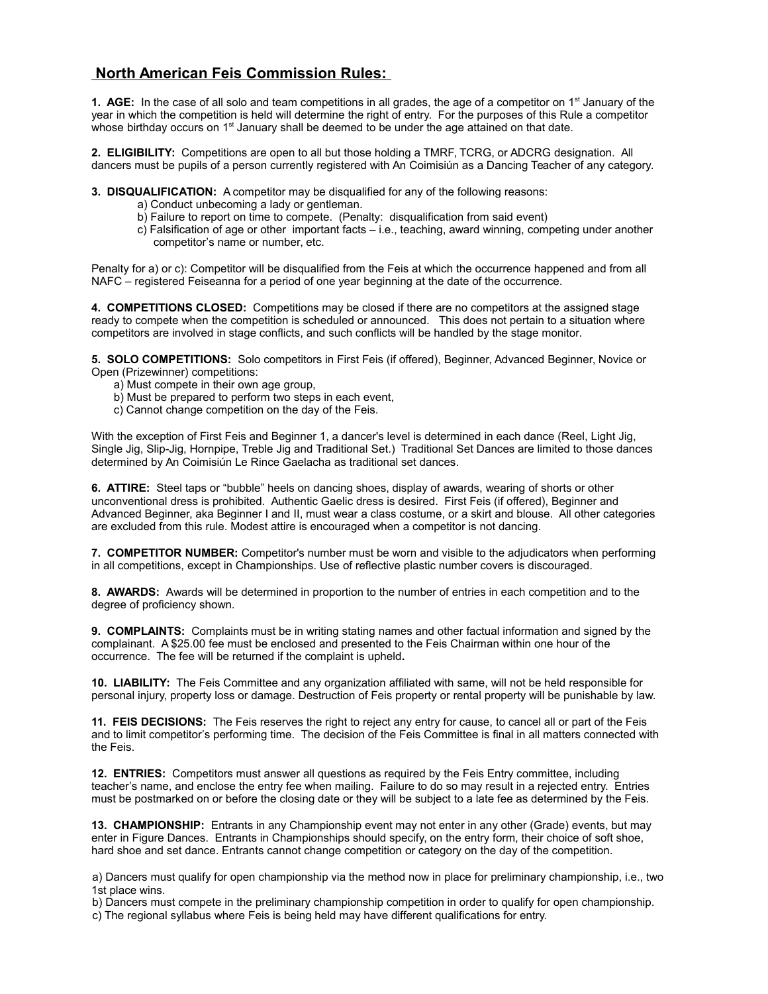# **North American Feis Commission Rules:**

**1. AGE:** In the case of all solo and team competitions in all grades, the age of a competitor on 1<sup>st</sup> January of the year in which the competition is held will determine the right of entry. For the purposes of this Rule a competitor whose birthday occurs on  $1<sup>st</sup>$  January shall be deemed to be under the age attained on that date.

**2. ELIGIBILITY:** Competitions are open to all but those holding a TMRF, TCRG, or ADCRG designation. All dancers must be pupils of a person currently registered with An Coimisiún as a Dancing Teacher of any category.

**3. DISQUALIFICATION:** A competitor may be disqualified for any of the following reasons:

- a) Conduct unbecoming a lady or gentleman.
- b) Failure to report on time to compete. (Penalty: disqualification from said event)
- c) Falsification of age or other important facts i.e., teaching, award winning, competing under another competitor's name or number, etc.

Penalty for a) or c): Competitor will be disqualified from the Feis at which the occurrence happened and from all NAFC – registered Feiseanna for a period of one year beginning at the date of the occurrence.

**4. COMPETITIONS CLOSED:** Competitions may be closed if there are no competitors at the assigned stage ready to compete when the competition is scheduled or announced. This does not pertain to a situation where competitors are involved in stage conflicts, and such conflicts will be handled by the stage monitor.

**5. SOLO COMPETITIONS:** Solo competitors in First Feis (if offered), Beginner, Advanced Beginner, Novice or Open (Prizewinner) competitions:

- a) Must compete in their own age group,
- b) Must be prepared to perform two steps in each event,
- c) Cannot change competition on the day of the Feis.

With the exception of First Feis and Beginner 1, a dancer's level is determined in each dance (Reel, Light Jig, Single Jig, Slip-Jig, Hornpipe, Treble Jig and Traditional Set.) Traditional Set Dances are limited to those dances determined by An Coimisiún Le Rince Gaelacha as traditional set dances.

**6. ATTIRE:** Steel taps or "bubble" heels on dancing shoes, display of awards, wearing of shorts or other unconventional dress is prohibited. Authentic Gaelic dress is desired. First Feis (if offered), Beginner and Advanced Beginner, aka Beginner I and II, must wear a class costume, or a skirt and blouse. All other categories are excluded from this rule. Modest attire is encouraged when a competitor is not dancing.

**7. COMPETITOR NUMBER:** Competitor's number must be worn and visible to the adjudicators when performing in all competitions, except in Championships. Use of reflective plastic number covers is discouraged.

**8. AWARDS:** Awards will be determined in proportion to the number of entries in each competition and to the degree of proficiency shown.

**9. COMPLAINTS:** Complaints must be in writing stating names and other factual information and signed by the complainant. A \$25.00 fee must be enclosed and presented to the Feis Chairman within one hour of the occurrence. The fee will be returned if the complaint is upheld**.**

**10. LIABILITY:** The Feis Committee and any organization affiliated with same, will not be held responsible for personal injury, property loss or damage. Destruction of Feis property or rental property will be punishable by law.

**11. FEIS DECISIONS:** The Feis reserves the right to reject any entry for cause, to cancel all or part of the Feis and to limit competitor's performing time. The decision of the Feis Committee is final in all matters connected with the Feis.

**12. ENTRIES:** Competitors must answer all questions as required by the Feis Entry committee, including teacher's name, and enclose the entry fee when mailing. Failure to do so may result in a rejected entry. Entries must be postmarked on or before the closing date or they will be subject to a late fee as determined by the Feis.

**13. CHAMPIONSHIP:** Entrants in any Championship event may not enter in any other (Grade) events, but may enter in Figure Dances. Entrants in Championships should specify, on the entry form, their choice of soft shoe, hard shoe and set dance. Entrants cannot change competition or category on the day of the competition.

a) Dancers must qualify for open championship via the method now in place for preliminary championship, i.e., two 1st place wins.

b) Dancers must compete in the preliminary championship competition in order to qualify for open championship.

c) The regional syllabus where Feis is being held may have different qualifications for entry.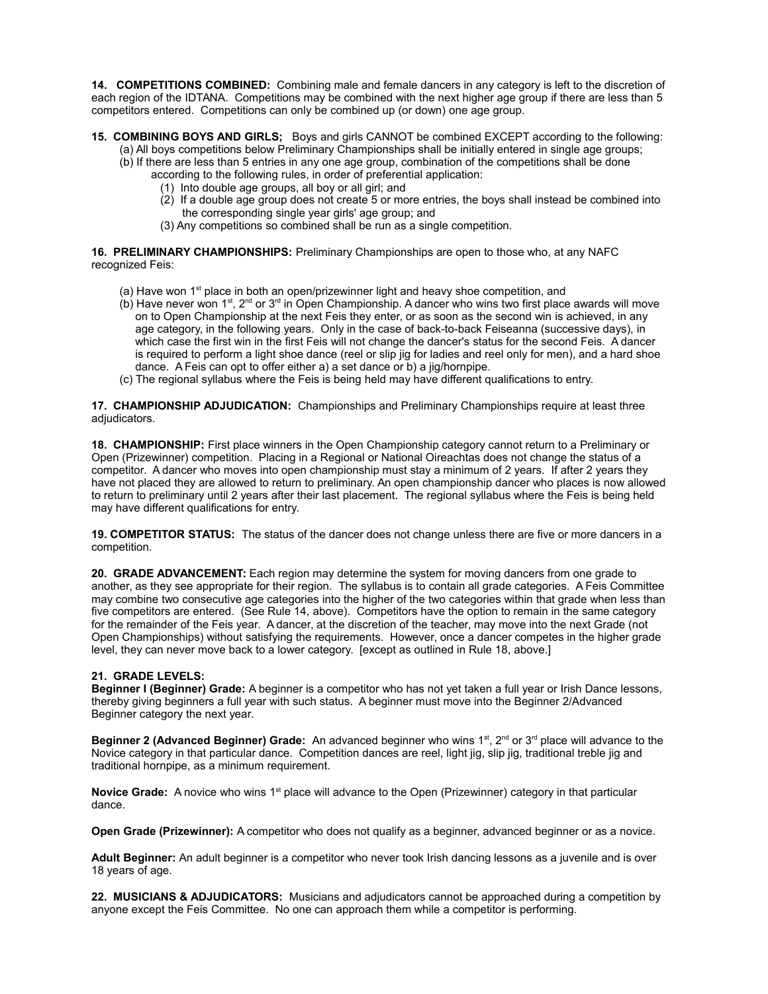**14. COMPETITIONS COMBINED:** Combining male and female dancers in any category is left to the discretion of each region of the IDTANA. Competitions may be combined with the next higher age group if there are less than 5 competitors entered. Competitions can only be combined up (or down) one age group.

- **15. COMBINING BOYS AND GIRLS;** Boys and girls CANNOT be combined EXCEPT according to the following: (a) All boys competitions below Preliminary Championships shall be initially entered in single age groups;
	- (b) If there are less than 5 entries in any one age group, combination of the competitions shall be done
		- according to the following rules, in order of preferential application:
			- (1) Into double age groups, all boy or all girl; and
			- (2) If a double age group does not create 5 or more entries, the boys shall instead be combined into the corresponding single year girls' age group; and
		- (3) Any competitions so combined shall be run as a single competition.

**16. PRELIMINARY CHAMPIONSHIPS:** Preliminary Championships are open to those who, at any NAFC recognized Feis:

- (a) Have won  $1<sup>st</sup>$  place in both an open/prizewinner light and heavy shoe competition, and
- $(b)$  Have never won 1<sup>st</sup>, 2<sup>nd</sup> or 3<sup>rd</sup> in Open Championship. A dancer who wins two first place awards will move on to Open Championship at the next Feis they enter, or as soon as the second win is achieved, in any age category, in the following years. Only in the case of back-to-back Feiseanna (successive days), in which case the first win in the first Feis will not change the dancer's status for the second Feis. A dancer is required to perform a light shoe dance (reel or slip jig for ladies and reel only for men), and a hard shoe dance. A Feis can opt to offer either a) a set dance or b) a jig/hornpipe.
- (c) The regional syllabus where the Feis is being held may have different qualifications to entry.

**17. CHAMPIONSHIP ADJUDICATION:** Championships and Preliminary Championships require at least three adjudicators.

**18. CHAMPIONSHIP:** First place winners in the Open Championship category cannot return to a Preliminary or Open (Prizewinner) competition. Placing in a Regional or National Oireachtas does not change the status of a competitor. A dancer who moves into open championship must stay a minimum of 2 years. If after 2 years they have not placed they are allowed to return to preliminary. An open championship dancer who places is now allowed to return to preliminary until 2 years after their last placement. The regional syllabus where the Feis is being held may have different qualifications for entry.

**19. COMPETITOR STATUS:** The status of the dancer does not change unless there are five or more dancers in a competition.

**20. GRADE ADVANCEMENT:** Each region may determine the system for moving dancers from one grade to another, as they see appropriate for their region. The syllabus is to contain all grade categories. A Feis Committee may combine two consecutive age categories into the higher of the two categories within that grade when less than five competitors are entered. (See Rule 14, above). Competitors have the option to remain in the same category for the remainder of the Feis year. A dancer, at the discretion of the teacher, may move into the next Grade (not Open Championships) without satisfying the requirements. However, once a dancer competes in the higher grade level, they can never move back to a lower category. [except as outlined in Rule 18, above.]

### **21. GRADE LEVELS:**

**Beginner I (Beginner) Grade:** A beginner is a competitor who has not yet taken a full year or Irish Dance lessons, thereby giving beginners a full year with such status. A beginner must move into the Beginner 2/Advanced Beginner category the next year.

**Beginner 2 (Advanced Beginner) Grade:** An advanced beginner who wins 1<sup>st</sup>, 2<sup>nd</sup> or 3<sup>rd</sup> place will advance to the Novice category in that particular dance. Competition dances are reel, light jig, slip jig, traditional treble jig and traditional hornpipe, as a minimum requirement.

**Novice Grade:** A novice who wins 1<sup>st</sup> place will advance to the Open (Prizewinner) category in that particular dance.

**Open Grade (Prizewinner):** A competitor who does not qualify as a beginner, advanced beginner or as a novice.

**Adult Beginner:** An adult beginner is a competitor who never took Irish dancing lessons as a juvenile and is over 18 years of age.

**22. MUSICIANS & ADJUDICATORS:** Musicians and adjudicators cannot be approached during a competition by anyone except the Feis Committee. No one can approach them while a competitor is performing.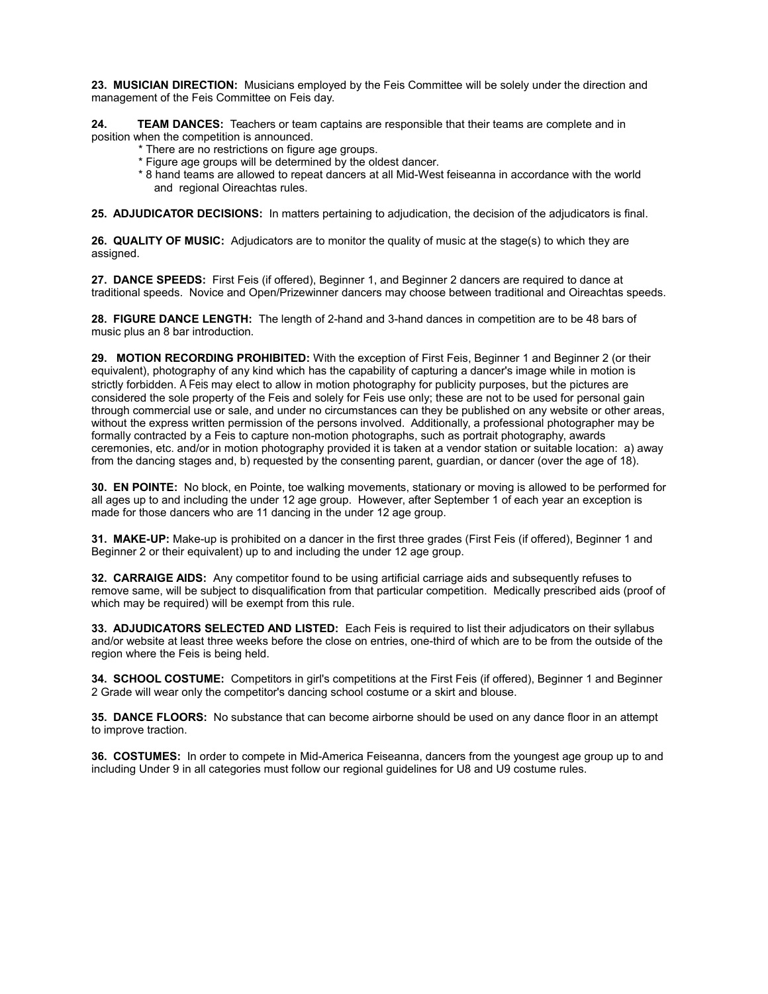**23. MUSICIAN DIRECTION:** Musicians employed by the Feis Committee will be solely under the direction and management of the Feis Committee on Feis day.

**24. TEAM DANCES:** Teachers or team captains are responsible that their teams are complete and in position when the competition is announced.

- \* There are no restrictions on figure age groups.
- \* Figure age groups will be determined by the oldest dancer.
- \* 8 hand teams are allowed to repeat dancers at all Mid-West feiseanna in accordance with the world and regional Oireachtas rules.

**25. ADJUDICATOR DECISIONS:** In matters pertaining to adjudication, the decision of the adjudicators is final.

**26. QUALITY OF MUSIC:** Adjudicators are to monitor the quality of music at the stage(s) to which they are assigned.

**27. DANCE SPEEDS:** First Feis (if offered), Beginner 1, and Beginner 2 dancers are required to dance at traditional speeds. Novice and Open/Prizewinner dancers may choose between traditional and Oireachtas speeds.

**28. FIGURE DANCE LENGTH:** The length of 2-hand and 3-hand dances in competition are to be 48 bars of music plus an 8 bar introduction.

**29. MOTION RECORDING PROHIBITED:** With the exception of First Feis, Beginner 1 and Beginner 2 (or their equivalent), photography of any kind which has the capability of capturing a dancer's image while in motion is strictly forbidden. A Feis may elect to allow in motion photography for publicity purposes, but the pictures are considered the sole property of the Feis and solely for Feis use only; these are not to be used for personal gain through commercial use or sale, and under no circumstances can they be published on any website or other areas, without the express written permission of the persons involved. Additionally, a professional photographer may be formally contracted by a Feis to capture non-motion photographs, such as portrait photography, awards ceremonies, etc. and/or in motion photography provided it is taken at a vendor station or suitable location: a) away from the dancing stages and, b) requested by the consenting parent, guardian, or dancer (over the age of 18).

**30. EN POINTE:** No block, en Pointe, toe walking movements, stationary or moving is allowed to be performed for all ages up to and including the under 12 age group. However, after September 1 of each year an exception is made for those dancers who are 11 dancing in the under 12 age group.

**31. MAKE-UP:** Make-up is prohibited on a dancer in the first three grades (First Feis (if offered), Beginner 1 and Beginner 2 or their equivalent) up to and including the under 12 age group.

**32. CARRAIGE AIDS:** Any competitor found to be using artificial carriage aids and subsequently refuses to remove same, will be subject to disqualification from that particular competition. Medically prescribed aids (proof of which may be required) will be exempt from this rule.

**33. ADJUDICATORS SELECTED AND LISTED:** Each Feis is required to list their adjudicators on their syllabus and/or website at least three weeks before the close on entries, one-third of which are to be from the outside of the region where the Feis is being held.

**34. SCHOOL COSTUME:** Competitors in girl's competitions at the First Feis (if offered), Beginner 1 and Beginner 2 Grade will wear only the competitor's dancing school costume or a skirt and blouse.

**35. DANCE FLOORS:** No substance that can become airborne should be used on any dance floor in an attempt to improve traction.

**36. COSTUMES:** In order to compete in Mid-America Feiseanna, dancers from the youngest age group up to and including Under 9 in all categories must follow our regional guidelines for U8 and U9 costume rules.